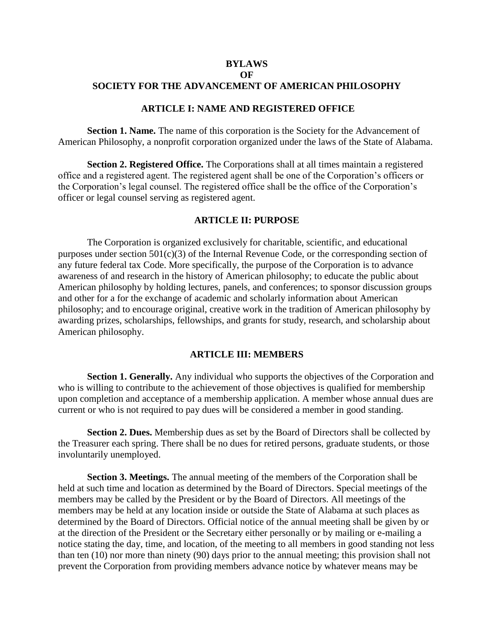#### **BYLAWS OF**

#### **SOCIETY FOR THE ADVANCEMENT OF AMERICAN PHILOSOPHY**

#### **ARTICLE I: NAME AND REGISTERED OFFICE**

**Section 1. Name.** The name of this corporation is the Society for the Advancement of American Philosophy, a nonprofit corporation organized under the laws of the State of Alabama.

 **Section 2. Registered Office.** The Corporations shall at all times maintain a registered office and a registered agent. The registered agent shall be one of the Corporation's officers or the Corporation's legal counsel. The registered office shall be the office of the Corporation's officer or legal counsel serving as registered agent.

#### **ARTICLE II: PURPOSE**

 The Corporation is organized exclusively for charitable, scientific, and educational purposes under section 501(c)(3) of the Internal Revenue Code, or the corresponding section of any future federal tax Code. More specifically, the purpose of the Corporation is to advance awareness of and research in the history of American philosophy; to educate the public about American philosophy by holding lectures, panels, and conferences; to sponsor discussion groups and other for a for the exchange of academic and scholarly information about American philosophy; and to encourage original, creative work in the tradition of American philosophy by awarding prizes, scholarships, fellowships, and grants for study, research, and scholarship about American philosophy.

#### **ARTICLE III: MEMBERS**

**Section 1. Generally.** Any individual who supports the objectives of the Corporation and who is willing to contribute to the achievement of those objectives is qualified for membership upon completion and acceptance of a membership application. A member whose annual dues are current or who is not required to pay dues will be considered a member in good standing.

**Section 2. Dues.** Membership dues as set by the Board of Directors shall be collected by the Treasurer each spring. There shall be no dues for retired persons, graduate students, or those involuntarily unemployed.

**Section 3. Meetings.** The annual meeting of the members of the Corporation shall be held at such time and location as determined by the Board of Directors. Special meetings of the members may be called by the President or by the Board of Directors. All meetings of the members may be held at any location inside or outside the State of Alabama at such places as determined by the Board of Directors. Official notice of the annual meeting shall be given by or at the direction of the President or the Secretary either personally or by mailing or e-mailing a notice stating the day, time, and location, of the meeting to all members in good standing not less than ten (10) nor more than ninety (90) days prior to the annual meeting; this provision shall not prevent the Corporation from providing members advance notice by whatever means may be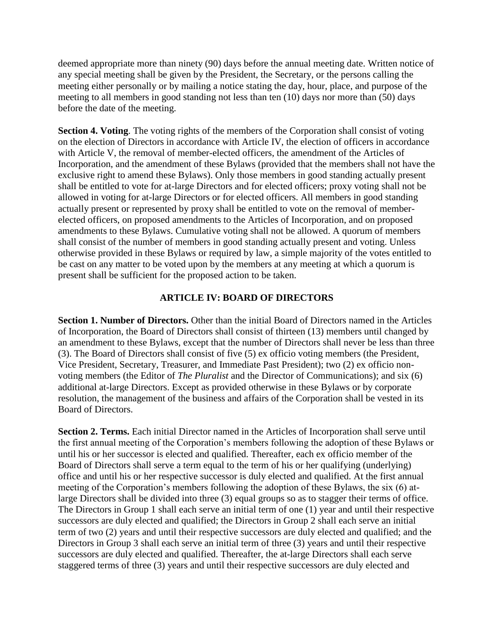deemed appropriate more than ninety (90) days before the annual meeting date. Written notice of any special meeting shall be given by the President, the Secretary, or the persons calling the meeting either personally or by mailing a notice stating the day, hour, place, and purpose of the meeting to all members in good standing not less than ten (10) days nor more than (50) days before the date of the meeting.

**Section 4. Voting**. The voting rights of the members of the Corporation shall consist of voting on the election of Directors in accordance with Article IV, the election of officers in accordance with Article V, the removal of member-elected officers, the amendment of the Articles of Incorporation, and the amendment of these Bylaws (provided that the members shall not have the exclusive right to amend these Bylaws). Only those members in good standing actually present shall be entitled to vote for at-large Directors and for elected officers; proxy voting shall not be allowed in voting for at-large Directors or for elected officers. All members in good standing actually present or represented by proxy shall be entitled to vote on the removal of memberelected officers, on proposed amendments to the Articles of Incorporation, and on proposed amendments to these Bylaws. Cumulative voting shall not be allowed. A quorum of members shall consist of the number of members in good standing actually present and voting. Unless otherwise provided in these Bylaws or required by law, a simple majority of the votes entitled to be cast on any matter to be voted upon by the members at any meeting at which a quorum is present shall be sufficient for the proposed action to be taken.

### **ARTICLE IV: BOARD OF DIRECTORS**

**Section 1. Number of Directors.** Other than the initial Board of Directors named in the Articles of Incorporation, the Board of Directors shall consist of thirteen (13) members until changed by an amendment to these Bylaws, except that the number of Directors shall never be less than three (3). The Board of Directors shall consist of five (5) ex officio voting members (the President, Vice President, Secretary, Treasurer, and Immediate Past President); two (2) ex officio nonvoting members (the Editor of *The Pluralist* and the Director of Communications); and six (6) additional at-large Directors. Except as provided otherwise in these Bylaws or by corporate resolution, the management of the business and affairs of the Corporation shall be vested in its Board of Directors.

**Section 2. Terms.** Each initial Director named in the Articles of Incorporation shall serve until the first annual meeting of the Corporation's members following the adoption of these Bylaws or until his or her successor is elected and qualified. Thereafter, each ex officio member of the Board of Directors shall serve a term equal to the term of his or her qualifying (underlying) office and until his or her respective successor is duly elected and qualified. At the first annual meeting of the Corporation's members following the adoption of these Bylaws, the six (6) atlarge Directors shall be divided into three (3) equal groups so as to stagger their terms of office. The Directors in Group 1 shall each serve an initial term of one (1) year and until their respective successors are duly elected and qualified; the Directors in Group 2 shall each serve an initial term of two (2) years and until their respective successors are duly elected and qualified; and the Directors in Group 3 shall each serve an initial term of three (3) years and until their respective successors are duly elected and qualified. Thereafter, the at-large Directors shall each serve staggered terms of three (3) years and until their respective successors are duly elected and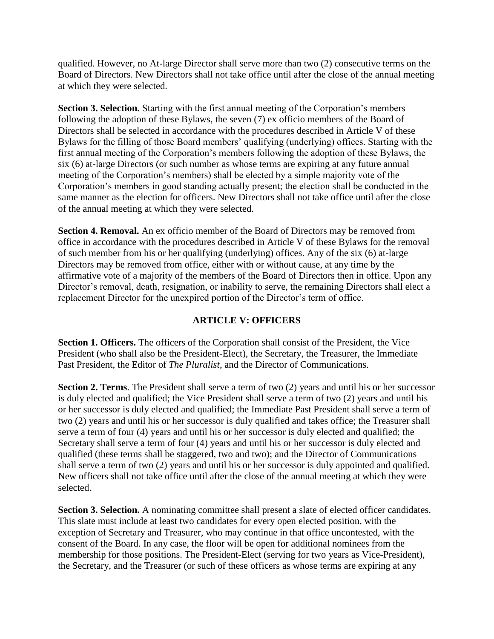qualified. However, no At-large Director shall serve more than two (2) consecutive terms on the Board of Directors. New Directors shall not take office until after the close of the annual meeting at which they were selected.

**Section 3. Selection.** Starting with the first annual meeting of the Corporation's members following the adoption of these Bylaws, the seven (7) ex officio members of the Board of Directors shall be selected in accordance with the procedures described in Article V of these Bylaws for the filling of those Board members' qualifying (underlying) offices. Starting with the first annual meeting of the Corporation's members following the adoption of these Bylaws, the six (6) at-large Directors (or such number as whose terms are expiring at any future annual meeting of the Corporation's members) shall be elected by a simple majority vote of the Corporation's members in good standing actually present; the election shall be conducted in the same manner as the election for officers. New Directors shall not take office until after the close of the annual meeting at which they were selected.

**Section 4. Removal.** An ex officio member of the Board of Directors may be removed from office in accordance with the procedures described in Article V of these Bylaws for the removal of such member from his or her qualifying (underlying) offices. Any of the six (6) at-large Directors may be removed from office, either with or without cause, at any time by the affirmative vote of a majority of the members of the Board of Directors then in office. Upon any Director's removal, death, resignation, or inability to serve, the remaining Directors shall elect a replacement Director for the unexpired portion of the Director's term of office.

## **ARTICLE V: OFFICERS**

**Section 1. Officers.** The officers of the Corporation shall consist of the President, the Vice President (who shall also be the President-Elect), the Secretary, the Treasurer, the Immediate Past President, the Editor of *The Pluralist*, and the Director of Communications.

**Section 2. Terms**. The President shall serve a term of two (2) years and until his or her successor is duly elected and qualified; the Vice President shall serve a term of two (2) years and until his or her successor is duly elected and qualified; the Immediate Past President shall serve a term of two (2) years and until his or her successor is duly qualified and takes office; the Treasurer shall serve a term of four (4) years and until his or her successor is duly elected and qualified; the Secretary shall serve a term of four (4) years and until his or her successor is duly elected and qualified (these terms shall be staggered, two and two); and the Director of Communications shall serve a term of two (2) years and until his or her successor is duly appointed and qualified. New officers shall not take office until after the close of the annual meeting at which they were selected.

**Section 3. Selection.** A nominating committee shall present a slate of elected officer candidates. This slate must include at least two candidates for every open elected position, with the exception of Secretary and Treasurer, who may continue in that office uncontested, with the consent of the Board. In any case, the floor will be open for additional nominees from the membership for those positions. The President-Elect (serving for two years as Vice-President), the Secretary, and the Treasurer (or such of these officers as whose terms are expiring at any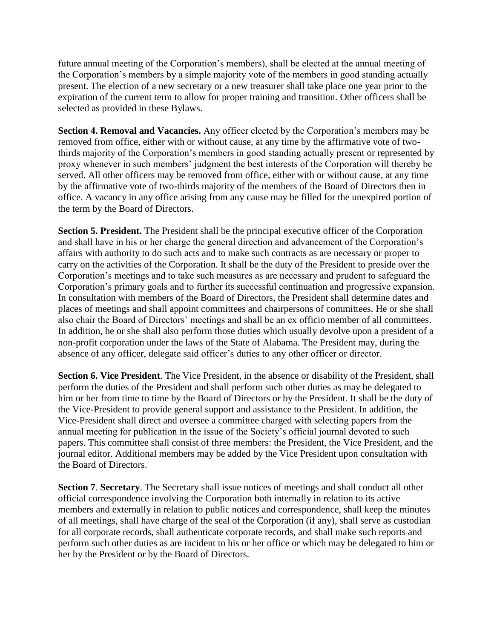future annual meeting of the Corporation's members), shall be elected at the annual meeting of the Corporation's members by a simple majority vote of the members in good standing actually present. The election of a new secretary or a new treasurer shall take place one year prior to the expiration of the current term to allow for proper training and transition. Other officers shall be selected as provided in these Bylaws.

**Section 4. Removal and Vacancies.** Any officer elected by the Corporation's members may be removed from office, either with or without cause, at any time by the affirmative vote of twothirds majority of the Corporation's members in good standing actually present or represented by proxy whenever in such members' judgment the best interests of the Corporation will thereby be served. All other officers may be removed from office, either with or without cause, at any time by the affirmative vote of two-thirds majority of the members of the Board of Directors then in office. A vacancy in any office arising from any cause may be filled for the unexpired portion of the term by the Board of Directors.

**Section 5. President.** The President shall be the principal executive officer of the Corporation and shall have in his or her charge the general direction and advancement of the Corporation's affairs with authority to do such acts and to make such contracts as are necessary or proper to carry on the activities of the Corporation. It shall be the duty of the President to preside over the Corporation's meetings and to take such measures as are necessary and prudent to safeguard the Corporation's primary goals and to further its successful continuation and progressive expansion. In consultation with members of the Board of Directors, the President shall determine dates and places of meetings and shall appoint committees and chairpersons of committees. He or she shall also chair the Board of Directors' meetings and shall be an ex officio member of all committees. In addition, he or she shall also perform those duties which usually devolve upon a president of a non-profit corporation under the laws of the State of Alabama. The President may, during the absence of any officer, delegate said officer's duties to any other officer or director.

**Section 6. Vice President**. The Vice President, in the absence or disability of the President, shall perform the duties of the President and shall perform such other duties as may be delegated to him or her from time to time by the Board of Directors or by the President. It shall be the duty of the Vice-President to provide general support and assistance to the President. In addition, the Vice-President shall direct and oversee a committee charged with selecting papers from the annual meeting for publication in the issue of the Society's official journal devoted to such papers. This committee shall consist of three members: the President, the Vice President, and the journal editor. Additional members may be added by the Vice President upon consultation with the Board of Directors.

**Section 7**. **Secretary**. The Secretary shall issue notices of meetings and shall conduct all other official correspondence involving the Corporation both internally in relation to its active members and externally in relation to public notices and correspondence, shall keep the minutes of all meetings, shall have charge of the seal of the Corporation (if any), shall serve as custodian for all corporate records, shall authenticate corporate records, and shall make such reports and perform such other duties as are incident to his or her office or which may be delegated to him or her by the President or by the Board of Directors.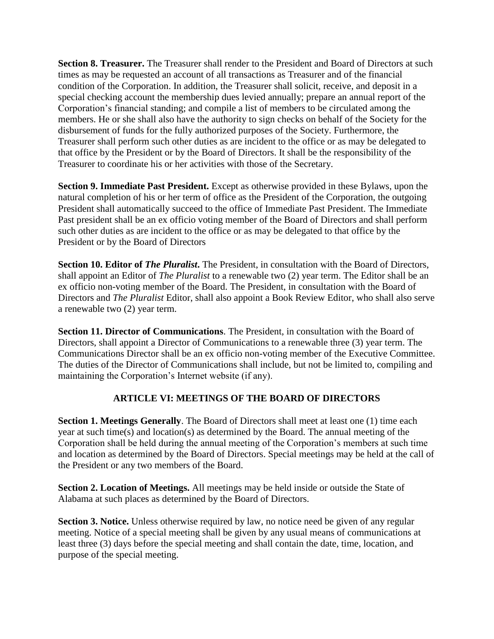**Section 8. Treasurer.** The Treasurer shall render to the President and Board of Directors at such times as may be requested an account of all transactions as Treasurer and of the financial condition of the Corporation. In addition, the Treasurer shall solicit, receive, and deposit in a special checking account the membership dues levied annually; prepare an annual report of the Corporation's financial standing; and compile a list of members to be circulated among the members. He or she shall also have the authority to sign checks on behalf of the Society for the disbursement of funds for the fully authorized purposes of the Society. Furthermore, the Treasurer shall perform such other duties as are incident to the office or as may be delegated to that office by the President or by the Board of Directors. It shall be the responsibility of the Treasurer to coordinate his or her activities with those of the Secretary.

**Section 9. Immediate Past President.** Except as otherwise provided in these Bylaws, upon the natural completion of his or her term of office as the President of the Corporation, the outgoing President shall automatically succeed to the office of Immediate Past President. The Immediate Past president shall be an ex officio voting member of the Board of Directors and shall perform such other duties as are incident to the office or as may be delegated to that office by the President or by the Board of Directors

**Section 10. Editor of** *The Pluralist***.** The President, in consultation with the Board of Directors, shall appoint an Editor of *The Pluralist* to a renewable two (2) year term. The Editor shall be an ex officio non-voting member of the Board. The President, in consultation with the Board of Directors and *The Pluralist* Editor, shall also appoint a Book Review Editor, who shall also serve a renewable two (2) year term.

**Section 11. Director of Communications**. The President, in consultation with the Board of Directors, shall appoint a Director of Communications to a renewable three (3) year term. The Communications Director shall be an ex officio non-voting member of the Executive Committee. The duties of the Director of Communications shall include, but not be limited to, compiling and maintaining the Corporation's Internet website (if any).

# **ARTICLE VI: MEETINGS OF THE BOARD OF DIRECTORS**

**Section 1. Meetings Generally**. The Board of Directors shall meet at least one (1) time each year at such time(s) and location(s) as determined by the Board. The annual meeting of the Corporation shall be held during the annual meeting of the Corporation's members at such time and location as determined by the Board of Directors. Special meetings may be held at the call of the President or any two members of the Board.

**Section 2. Location of Meetings.** All meetings may be held inside or outside the State of Alabama at such places as determined by the Board of Directors.

**Section 3. Notice.** Unless otherwise required by law, no notice need be given of any regular meeting. Notice of a special meeting shall be given by any usual means of communications at least three (3) days before the special meeting and shall contain the date, time, location, and purpose of the special meeting.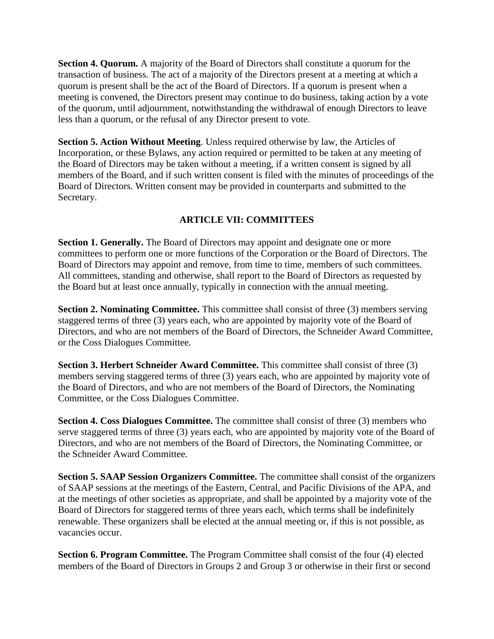**Section 4. Quorum.** A majority of the Board of Directors shall constitute a quorum for the transaction of business. The act of a majority of the Directors present at a meeting at which a quorum is present shall be the act of the Board of Directors. If a quorum is present when a meeting is convened, the Directors present may continue to do business, taking action by a vote of the quorum, until adjournment, notwithstanding the withdrawal of enough Directors to leave less than a quorum, or the refusal of any Director present to vote.

**Section 5. Action Without Meeting**. Unless required otherwise by law, the Articles of Incorporation, or these Bylaws, any action required or permitted to be taken at any meeting of the Board of Directors may be taken without a meeting, if a written consent is signed by all members of the Board, and if such written consent is filed with the minutes of proceedings of the Board of Directors. Written consent may be provided in counterparts and submitted to the Secretary.

# **ARTICLE VII: COMMITTEES**

**Section 1. Generally.** The Board of Directors may appoint and designate one or more committees to perform one or more functions of the Corporation or the Board of Directors. The Board of Directors may appoint and remove, from time to time, members of such committees. All committees, standing and otherwise, shall report to the Board of Directors as requested by the Board but at least once annually, typically in connection with the annual meeting.

**Section 2. Nominating Committee.** This committee shall consist of three (3) members serving staggered terms of three (3) years each, who are appointed by majority vote of the Board of Directors, and who are not members of the Board of Directors, the Schneider Award Committee, or the Coss Dialogues Committee.

**Section 3. Herbert Schneider Award Committee.** This committee shall consist of three (3) members serving staggered terms of three (3) years each, who are appointed by majority vote of the Board of Directors, and who are not members of the Board of Directors, the Nominating Committee, or the Coss Dialogues Committee.

**Section 4. Coss Dialogues Committee.** The committee shall consist of three (3) members who serve staggered terms of three (3) years each, who are appointed by majority vote of the Board of Directors, and who are not members of the Board of Directors, the Nominating Committee, or the Schneider Award Committee.

**Section 5. SAAP Session Organizers Committee.** The committee shall consist of the organizers of SAAP sessions at the meetings of the Eastern, Central, and Pacific Divisions of the APA, and at the meetings of other societies as appropriate, and shall be appointed by a majority vote of the Board of Directors for staggered terms of three years each, which terms shall be indefinitely renewable. These organizers shall be elected at the annual meeting or, if this is not possible, as vacancies occur.

**Section 6. Program Committee.** The Program Committee shall consist of the four (4) elected members of the Board of Directors in Groups 2 and Group 3 or otherwise in their first or second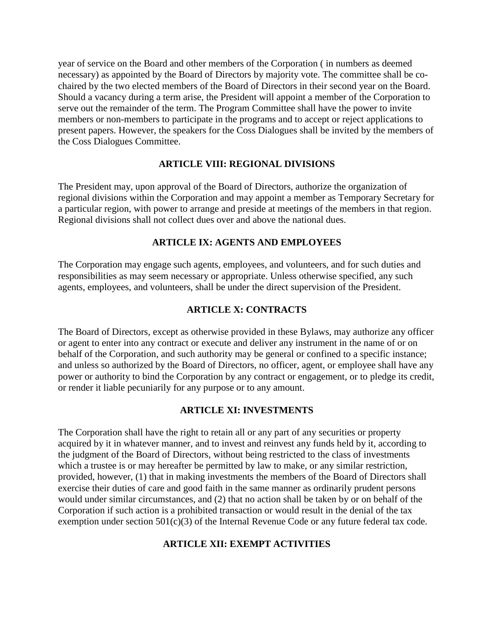year of service on the Board and other members of the Corporation ( in numbers as deemed necessary) as appointed by the Board of Directors by majority vote. The committee shall be cochaired by the two elected members of the Board of Directors in their second year on the Board. Should a vacancy during a term arise, the President will appoint a member of the Corporation to serve out the remainder of the term. The Program Committee shall have the power to invite members or non-members to participate in the programs and to accept or reject applications to present papers. However, the speakers for the Coss Dialogues shall be invited by the members of the Coss Dialogues Committee.

### **ARTICLE VIII: REGIONAL DIVISIONS**

The President may, upon approval of the Board of Directors, authorize the organization of regional divisions within the Corporation and may appoint a member as Temporary Secretary for a particular region, with power to arrange and preside at meetings of the members in that region. Regional divisions shall not collect dues over and above the national dues.

### **ARTICLE IX: AGENTS AND EMPLOYEES**

The Corporation may engage such agents, employees, and volunteers, and for such duties and responsibilities as may seem necessary or appropriate. Unless otherwise specified, any such agents, employees, and volunteers, shall be under the direct supervision of the President.

### **ARTICLE X: CONTRACTS**

The Board of Directors, except as otherwise provided in these Bylaws, may authorize any officer or agent to enter into any contract or execute and deliver any instrument in the name of or on behalf of the Corporation, and such authority may be general or confined to a specific instance; and unless so authorized by the Board of Directors, no officer, agent, or employee shall have any power or authority to bind the Corporation by any contract or engagement, or to pledge its credit, or render it liable pecuniarily for any purpose or to any amount.

#### **ARTICLE XI: INVESTMENTS**

The Corporation shall have the right to retain all or any part of any securities or property acquired by it in whatever manner, and to invest and reinvest any funds held by it, according to the judgment of the Board of Directors, without being restricted to the class of investments which a trustee is or may hereafter be permitted by law to make, or any similar restriction, provided, however, (1) that in making investments the members of the Board of Directors shall exercise their duties of care and good faith in the same manner as ordinarily prudent persons would under similar circumstances, and (2) that no action shall be taken by or on behalf of the Corporation if such action is a prohibited transaction or would result in the denial of the tax exemption under section 501(c)(3) of the Internal Revenue Code or any future federal tax code.

## **ARTICLE XII: EXEMPT ACTIVITIES**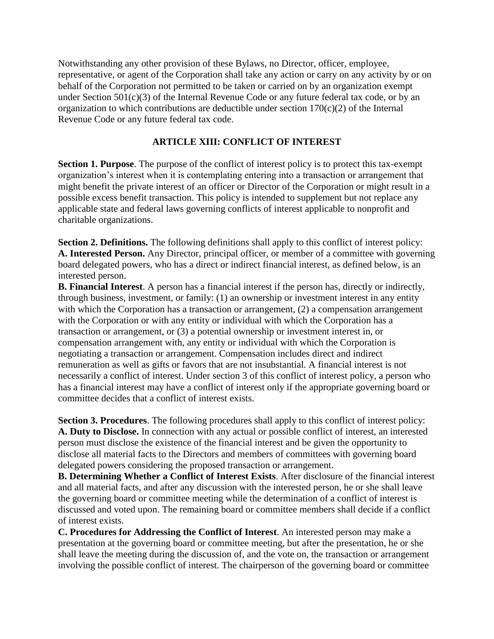Notwithstanding any other provision of these Bylaws, no Director, officer, employee, representative, or agent of the Corporation shall take any action or carry on any activity by or on behalf of the Corporation not permitted to be taken or carried on by an organization exempt under Section 501(c)(3) of the Internal Revenue Code or any future federal tax code, or by an organization to which contributions are deductible under section  $170(c)(2)$  of the Internal Revenue Code or any future federal tax code.

## **ARTICLE XIII: CONFLICT OF INTEREST**

**Section 1. Purpose**. The purpose of the conflict of interest policy is to protect this tax-exempt organization's interest when it is contemplating entering into a transaction or arrangement that might benefit the private interest of an officer or Director of the Corporation or might result in a possible excess benefit transaction. This policy is intended to supplement but not replace any applicable state and federal laws governing conflicts of interest applicable to nonprofit and charitable organizations.

**Section 2. Definitions.** The following definitions shall apply to this conflict of interest policy: **A. Interested Person.** Any Director, principal officer, or member of a committee with governing board delegated powers, who has a direct or indirect financial interest, as defined below, is an interested person.

**B. Financial Interest**. A person has a financial interest if the person has, directly or indirectly, through business, investment, or family: (1) an ownership or investment interest in any entity with which the Corporation has a transaction or arrangement, (2) a compensation arrangement with the Corporation or with any entity or individual with which the Corporation has a transaction or arrangement, or (3) a potential ownership or investment interest in, or compensation arrangement with, any entity or individual with which the Corporation is negotiating a transaction or arrangement. Compensation includes direct and indirect remuneration as well as gifts or favors that are not insubstantial. A financial interest is not necessarily a conflict of interest. Under section 3 of this conflict of interest policy, a person who has a financial interest may have a conflict of interest only if the appropriate governing board or committee decides that a conflict of interest exists.

**Section 3. Procedures**. The following procedures shall apply to this conflict of interest policy: **A. Duty to Disclose.** In connection with any actual or possible conflict of interest, an interested person must disclose the existence of the financial interest and be given the opportunity to disclose all material facts to the Directors and members of committees with governing board delegated powers considering the proposed transaction or arrangement.

**B. Determining Whether a Conflict of Interest Exists**. After disclosure of the financial interest and all material facts, and after any discussion with the interested person, he or she shall leave the governing board or committee meeting while the determination of a conflict of interest is discussed and voted upon. The remaining board or committee members shall decide if a conflict of interest exists.

**C. Procedures for Addressing the Conflict of Interest**. An interested person may make a presentation at the governing board or committee meeting, but after the presentation, he or she shall leave the meeting during the discussion of, and the vote on, the transaction or arrangement involving the possible conflict of interest. The chairperson of the governing board or committee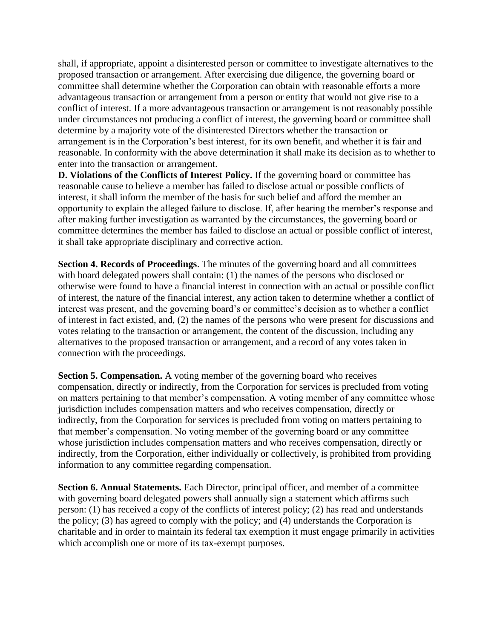shall, if appropriate, appoint a disinterested person or committee to investigate alternatives to the proposed transaction or arrangement. After exercising due diligence, the governing board or committee shall determine whether the Corporation can obtain with reasonable efforts a more advantageous transaction or arrangement from a person or entity that would not give rise to a conflict of interest. If a more advantageous transaction or arrangement is not reasonably possible under circumstances not producing a conflict of interest, the governing board or committee shall determine by a majority vote of the disinterested Directors whether the transaction or arrangement is in the Corporation's best interest, for its own benefit, and whether it is fair and reasonable. In conformity with the above determination it shall make its decision as to whether to enter into the transaction or arrangement.

**D. Violations of the Conflicts of Interest Policy.** If the governing board or committee has reasonable cause to believe a member has failed to disclose actual or possible conflicts of interest, it shall inform the member of the basis for such belief and afford the member an opportunity to explain the alleged failure to disclose. If, after hearing the member's response and after making further investigation as warranted by the circumstances, the governing board or committee determines the member has failed to disclose an actual or possible conflict of interest, it shall take appropriate disciplinary and corrective action.

**Section 4. Records of Proceedings**. The minutes of the governing board and all committees with board delegated powers shall contain: (1) the names of the persons who disclosed or otherwise were found to have a financial interest in connection with an actual or possible conflict of interest, the nature of the financial interest, any action taken to determine whether a conflict of interest was present, and the governing board's or committee's decision as to whether a conflict of interest in fact existed, and, (2) the names of the persons who were present for discussions and votes relating to the transaction or arrangement, the content of the discussion, including any alternatives to the proposed transaction or arrangement, and a record of any votes taken in connection with the proceedings.

**Section 5. Compensation.** A voting member of the governing board who receives compensation, directly or indirectly, from the Corporation for services is precluded from voting on matters pertaining to that member's compensation. A voting member of any committee whose jurisdiction includes compensation matters and who receives compensation, directly or indirectly, from the Corporation for services is precluded from voting on matters pertaining to that member's compensation. No voting member of the governing board or any committee whose jurisdiction includes compensation matters and who receives compensation, directly or indirectly, from the Corporation, either individually or collectively, is prohibited from providing information to any committee regarding compensation.

**Section 6. Annual Statements.** Each Director, principal officer, and member of a committee with governing board delegated powers shall annually sign a statement which affirms such person: (1) has received a copy of the conflicts of interest policy; (2) has read and understands the policy; (3) has agreed to comply with the policy; and (4) understands the Corporation is charitable and in order to maintain its federal tax exemption it must engage primarily in activities which accomplish one or more of its tax-exempt purposes.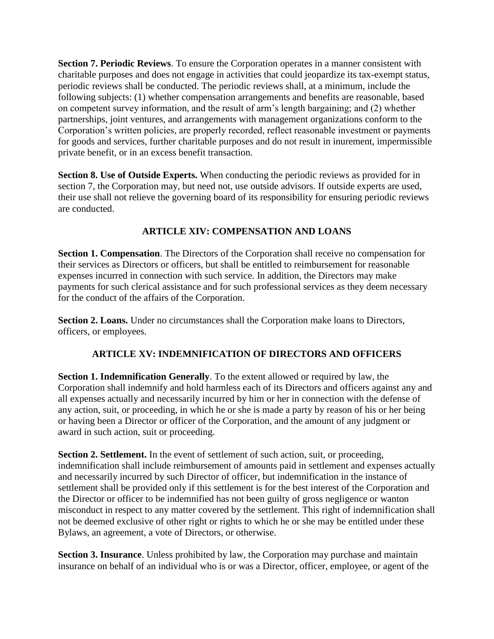**Section 7. Periodic Reviews**. To ensure the Corporation operates in a manner consistent with charitable purposes and does not engage in activities that could jeopardize its tax-exempt status, periodic reviews shall be conducted. The periodic reviews shall, at a minimum, include the following subjects: (1) whether compensation arrangements and benefits are reasonable, based on competent survey information, and the result of arm's length bargaining; and (2) whether partnerships, joint ventures, and arrangements with management organizations conform to the Corporation's written policies, are properly recorded, reflect reasonable investment or payments for goods and services, further charitable purposes and do not result in inurement, impermissible private benefit, or in an excess benefit transaction.

**Section 8. Use of Outside Experts.** When conducting the periodic reviews as provided for in section 7, the Corporation may, but need not, use outside advisors. If outside experts are used, their use shall not relieve the governing board of its responsibility for ensuring periodic reviews are conducted.

# **ARTICLE XIV: COMPENSATION AND LOANS**

**Section 1. Compensation**. The Directors of the Corporation shall receive no compensation for their services as Directors or officers, but shall be entitled to reimbursement for reasonable expenses incurred in connection with such service. In addition, the Directors may make payments for such clerical assistance and for such professional services as they deem necessary for the conduct of the affairs of the Corporation.

**Section 2. Loans.** Under no circumstances shall the Corporation make loans to Directors, officers, or employees.

## **ARTICLE XV: INDEMNIFICATION OF DIRECTORS AND OFFICERS**

**Section 1. Indemnification Generally**. To the extent allowed or required by law, the Corporation shall indemnify and hold harmless each of its Directors and officers against any and all expenses actually and necessarily incurred by him or her in connection with the defense of any action, suit, or proceeding, in which he or she is made a party by reason of his or her being or having been a Director or officer of the Corporation, and the amount of any judgment or award in such action, suit or proceeding.

**Section 2. Settlement.** In the event of settlement of such action, suit, or proceeding, indemnification shall include reimbursement of amounts paid in settlement and expenses actually and necessarily incurred by such Director of officer, but indemnification in the instance of settlement shall be provided only if this settlement is for the best interest of the Corporation and the Director or officer to be indemnified has not been guilty of gross negligence or wanton misconduct in respect to any matter covered by the settlement. This right of indemnification shall not be deemed exclusive of other right or rights to which he or she may be entitled under these Bylaws, an agreement, a vote of Directors, or otherwise.

**Section 3. Insurance**. Unless prohibited by law, the Corporation may purchase and maintain insurance on behalf of an individual who is or was a Director, officer, employee, or agent of the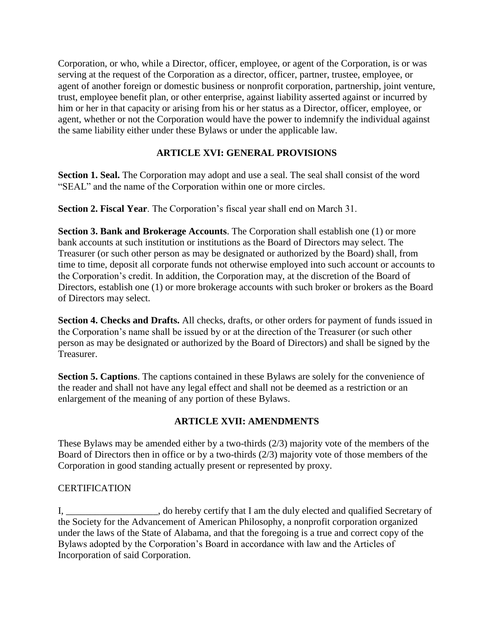Corporation, or who, while a Director, officer, employee, or agent of the Corporation, is or was serving at the request of the Corporation as a director, officer, partner, trustee, employee, or agent of another foreign or domestic business or nonprofit corporation, partnership, joint venture, trust, employee benefit plan, or other enterprise, against liability asserted against or incurred by him or her in that capacity or arising from his or her status as a Director, officer, employee, or agent, whether or not the Corporation would have the power to indemnify the individual against the same liability either under these Bylaws or under the applicable law.

# **ARTICLE XVI: GENERAL PROVISIONS**

**Section 1. Seal.** The Corporation may adopt and use a seal. The seal shall consist of the word "SEAL" and the name of the Corporation within one or more circles.

**Section 2. Fiscal Year**. The Corporation's fiscal year shall end on March 31.

**Section 3. Bank and Brokerage Accounts**. The Corporation shall establish one (1) or more bank accounts at such institution or institutions as the Board of Directors may select. The Treasurer (or such other person as may be designated or authorized by the Board) shall, from time to time, deposit all corporate funds not otherwise employed into such account or accounts to the Corporation's credit. In addition, the Corporation may, at the discretion of the Board of Directors, establish one (1) or more brokerage accounts with such broker or brokers as the Board of Directors may select.

**Section 4. Checks and Drafts.** All checks, drafts, or other orders for payment of funds issued in the Corporation's name shall be issued by or at the direction of the Treasurer (or such other person as may be designated or authorized by the Board of Directors) and shall be signed by the Treasurer.

**Section 5. Captions**. The captions contained in these Bylaws are solely for the convenience of the reader and shall not have any legal effect and shall not be deemed as a restriction or an enlargement of the meaning of any portion of these Bylaws.

# **ARTICLE XVII: AMENDMENTS**

These Bylaws may be amended either by a two-thirds (2/3) majority vote of the members of the Board of Directors then in office or by a two-thirds (2/3) majority vote of those members of the Corporation in good standing actually present or represented by proxy.

## **CERTIFICATION**

I, do hereby certify that I am the duly elected and qualified Secretary of the Society for the Advancement of American Philosophy, a nonprofit corporation organized under the laws of the State of Alabama, and that the foregoing is a true and correct copy of the Bylaws adopted by the Corporation's Board in accordance with law and the Articles of Incorporation of said Corporation.